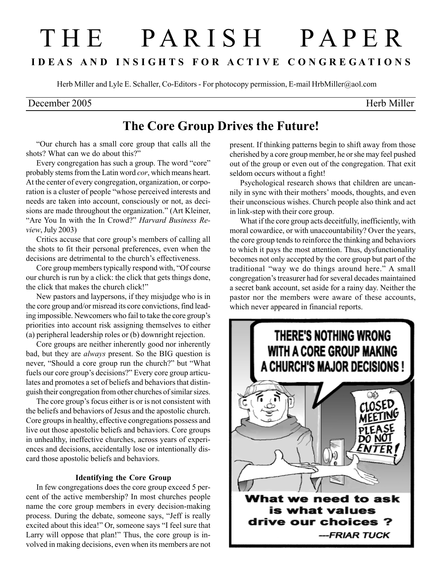# T H E P A R I S H P A P E R I D E A S A N D I N S I G H T S F O R A C T I V E C O N G R E G A T I O N S

Herb Miller and Lyle E. Schaller, Co-Editors - For photocopy permission, E-mail HrbMiller@aol.com

### December 2005 Herb Miller

## The Core Group Drives the Future!

"Our church has a small core group that calls all the shots? What can we do about this?"

Every congregation has such a group. The word "core" probably stems from the Latin word cor, which means heart. At the center of every congregation, organization, or corporation is a cluster of people "whose perceived interests and needs are taken into account, consciously or not, as decisions are made throughout the organization." (Art Kleiner, "Are You In with the In Crowd?" Harvard Business Review, July 2003)

Critics accuse that core group's members of calling all the shots to fit their personal preferences, even when the decisions are detrimental to the church's effectiveness.

Core group members typically respond with, "Of course our church is run by a click: the click that gets things done, the click that makes the church click!"

New pastors and laypersons, if they misjudge who is in the core group and/or misread its core convictions, find leading impossible. Newcomers who fail to take the core group's priorities into account risk assigning themselves to either (a) peripheral leadership roles or (b) downright rejection.

Core groups are neither inherently good nor inherently bad, but they are always present. So the BIG question is never, "Should a core group run the church?" but "What fuels our core group's decisions?" Every core group articulates and promotes a set of beliefs and behaviors that distinguish their congregation from other churches of similar sizes.

The core group's focus either is or is not consistent with the beliefs and behaviors of Jesus and the apostolic church. Core groups in healthy, effective congregations possess and live out those apostolic beliefs and behaviors. Core groups in unhealthy, ineffective churches, across years of experiences and decisions, accidentally lose or intentionally discard those apostolic beliefs and behaviors.

#### Identifying the Core Group

In few congregations does the core group exceed 5 percent of the active membership? In most churches people name the core group members in every decision-making process. During the debate, someone says, "Jeff is really excited about this idea!" Or, someone says "I feel sure that Larry will oppose that plan!" Thus, the core group is involved in making decisions, even when its members are not

present. If thinking patterns begin to shift away from those cherished by a core group member, he or she may feel pushed out of the group or even out of the congregation. That exit seldom occurs without a fight!

Psychological research shows that children are uncannily in sync with their mothers' moods, thoughts, and even their unconscious wishes. Church people also think and act in link-step with their core group.

What if the core group acts deceitfully, inefficiently, with moral cowardice, or with unaccountability? Over the years, the core group tends to reinforce the thinking and behaviors to which it pays the most attention. Thus, dysfunctionality becomes not only accepted by the core group but part of the traditional "way we do things around here." A small congregation's treasurer had for several decades maintained a secret bank account, set aside for a rainy day. Neither the pastor nor the members were aware of these accounts, which never appeared in financial reports.